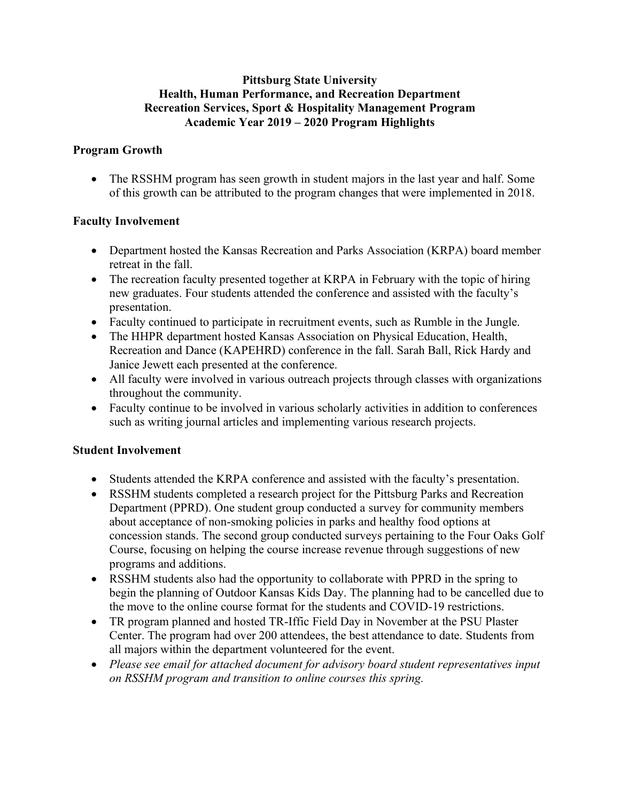#### **Pittsburg State University Health, Human Performance, and Recreation Department Recreation Services, Sport & Hospitality Management Program Academic Year 2019 – 2020 Program Highlights**

## **Program Growth**

• The RSSHM program has seen growth in student majors in the last year and half. Some of this growth can be attributed to the program changes that were implemented in 2018.

### **Faculty Involvement**

- Department hosted the Kansas Recreation and Parks Association (KRPA) board member retreat in the fall.
- The recreation faculty presented together at KRPA in February with the topic of hiring new graduates. Four students attended the conference and assisted with the faculty's presentation.
- Faculty continued to participate in recruitment events, such as Rumble in the Jungle.
- The HHPR department hosted Kansas Association on Physical Education, Health, Recreation and Dance (KAPEHRD) conference in the fall. Sarah Ball, Rick Hardy and Janice Jewett each presented at the conference.
- All faculty were involved in various outreach projects through classes with organizations throughout the community.
- Faculty continue to be involved in various scholarly activities in addition to conferences such as writing journal articles and implementing various research projects.

### **Student Involvement**

- Students attended the KRPA conference and assisted with the faculty's presentation.
- RSSHM students completed a research project for the Pittsburg Parks and Recreation Department (PPRD). One student group conducted a survey for community members about acceptance of non-smoking policies in parks and healthy food options at concession stands. The second group conducted surveys pertaining to the Four Oaks Golf Course, focusing on helping the course increase revenue through suggestions of new programs and additions.
- RSSHM students also had the opportunity to collaborate with PPRD in the spring to begin the planning of Outdoor Kansas Kids Day. The planning had to be cancelled due to the move to the online course format for the students and COVID-19 restrictions.
- TR program planned and hosted TR-Iffic Field Day in November at the PSU Plaster Center. The program had over 200 attendees, the best attendance to date. Students from all majors within the department volunteered for the event.
- *Please see email for attached document for advisory board student representatives input on RSSHM program and transition to online courses this spring.*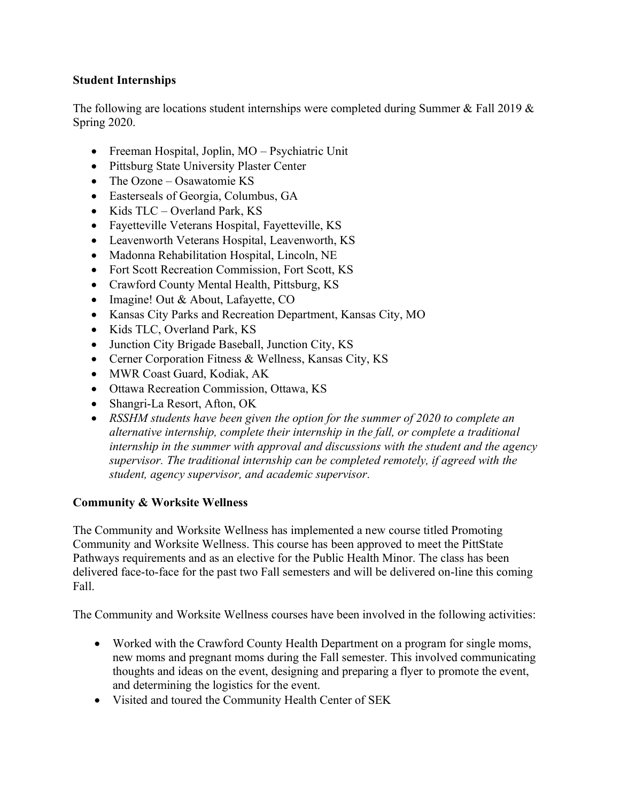## **Student Internships**

The following are locations student internships were completed during Summer & Fall 2019 & Spring 2020.

- Freeman Hospital, Joplin, MO Psychiatric Unit
- Pittsburg State University Plaster Center
- The Ozone Osawatomie KS
- Easterseals of Georgia, Columbus, GA
- Kids TLC Overland Park, KS
- Fayetteville Veterans Hospital, Fayetteville, KS
- Leavenworth Veterans Hospital, Leavenworth, KS
- Madonna Rehabilitation Hospital, Lincoln, NE
- Fort Scott Recreation Commission, Fort Scott, KS
- Crawford County Mental Health, Pittsburg, KS
- Imagine! Out & About, Lafayette, CO
- Kansas City Parks and Recreation Department, Kansas City, MO
- Kids TLC, Overland Park, KS
- Junction City Brigade Baseball, Junction City, KS
- Cerner Corporation Fitness & Wellness, Kansas City, KS
- MWR Coast Guard, Kodiak, AK
- Ottawa Recreation Commission, Ottawa, KS
- Shangri-La Resort, Afton, OK
- *RSSHM students have been given the option for the summer of 2020 to complete an alternative internship, complete their internship in the fall, or complete a traditional internship in the summer with approval and discussions with the student and the agency supervisor. The traditional internship can be completed remotely, if agreed with the student, agency supervisor, and academic supervisor.*

### **Community & Worksite Wellness**

The Community and Worksite Wellness has implemented a new course titled Promoting Community and Worksite Wellness. This course has been approved to meet the PittState Pathways requirements and as an elective for the Public Health Minor. The class has been delivered face-to-face for the past two Fall semesters and will be delivered on-line this coming Fall.

The Community and Worksite Wellness courses have been involved in the following activities:

- Worked with the Crawford County Health Department on a program for single moms, new moms and pregnant moms during the Fall semester. This involved communicating thoughts and ideas on the event, designing and preparing a flyer to promote the event, and determining the logistics for the event.
- Visited and toured the Community Health Center of SEK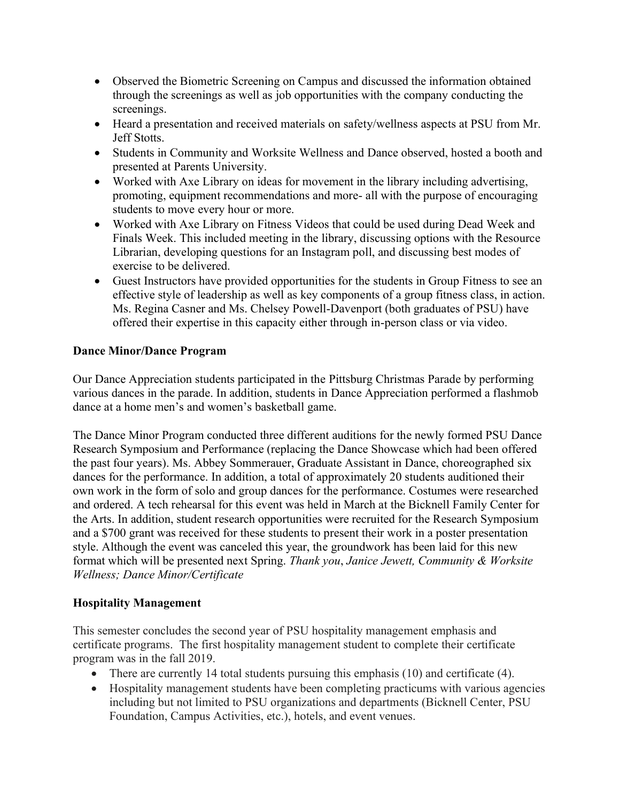- Observed the Biometric Screening on Campus and discussed the information obtained through the screenings as well as job opportunities with the company conducting the screenings.
- Heard a presentation and received materials on safety/wellness aspects at PSU from Mr. Jeff Stotts.
- Students in Community and Worksite Wellness and Dance observed, hosted a booth and presented at Parents University.
- Worked with Axe Library on ideas for movement in the library including advertising, promoting, equipment recommendations and more- all with the purpose of encouraging students to move every hour or more.
- Worked with Axe Library on Fitness Videos that could be used during Dead Week and Finals Week. This included meeting in the library, discussing options with the Resource Librarian, developing questions for an Instagram poll, and discussing best modes of exercise to be delivered.
- Guest Instructors have provided opportunities for the students in Group Fitness to see an effective style of leadership as well as key components of a group fitness class, in action. Ms. Regina Casner and Ms. Chelsey Powell-Davenport (both graduates of PSU) have offered their expertise in this capacity either through in-person class or via video.

### **Dance Minor/Dance Program**

Our Dance Appreciation students participated in the Pittsburg Christmas Parade by performing various dances in the parade. In addition, students in Dance Appreciation performed a flashmob dance at a home men's and women's basketball game.

The Dance Minor Program conducted three different auditions for the newly formed PSU Dance Research Symposium and Performance (replacing the Dance Showcase which had been offered the past four years). Ms. Abbey Sommerauer, Graduate Assistant in Dance, choreographed six dances for the performance. In addition, a total of approximately 20 students auditioned their own work in the form of solo and group dances for the performance. Costumes were researched and ordered. A tech rehearsal for this event was held in March at the Bicknell Family Center for the Arts. In addition, student research opportunities were recruited for the Research Symposium and a \$700 grant was received for these students to present their work in a poster presentation style. Although the event was canceled this year, the groundwork has been laid for this new format which will be presented next Spring. *Thank you*, *Janice Jewett, Community & Worksite Wellness; Dance Minor/Certificate* 

### **Hospitality Management**

This semester concludes the second year of PSU hospitality management emphasis and certificate programs. The first hospitality management student to complete their certificate program was in the fall 2019.

- There are currently 14 total students pursuing this emphasis  $(10)$  and certificate  $(4)$ .
- Hospitality management students have been completing practicums with various agencies including but not limited to PSU organizations and departments (Bicknell Center, PSU Foundation, Campus Activities, etc.), hotels, and event venues.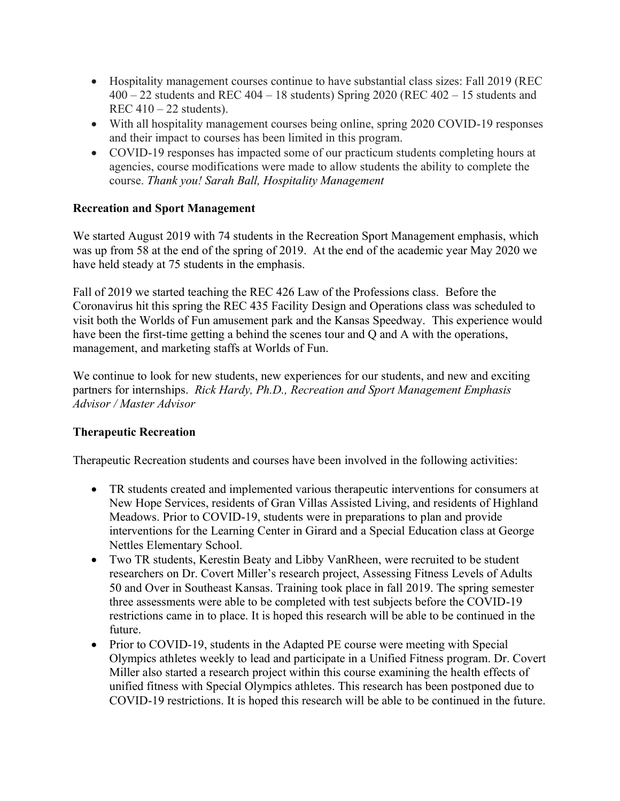- Hospitality management courses continue to have substantial class sizes: Fall 2019 (REC  $400 - 22$  students and REC  $404 - 18$  students) Spring 2020 (REC  $402 - 15$  students and REC  $410 - 22$  students).
- With all hospitality management courses being online, spring 2020 COVID-19 responses and their impact to courses has been limited in this program.
- COVID-19 responses has impacted some of our practicum students completing hours at agencies, course modifications were made to allow students the ability to complete the course. *Thank you! Sarah Ball, Hospitality Management*

# **Recreation and Sport Management**

We started August 2019 with 74 students in the Recreation Sport Management emphasis, which was up from 58 at the end of the spring of 2019. At the end of the academic year May 2020 we have held steady at 75 students in the emphasis.

Fall of 2019 we started teaching the REC 426 Law of the Professions class. Before the Coronavirus hit this spring the REC 435 Facility Design and Operations class was scheduled to visit both the Worlds of Fun amusement park and the Kansas Speedway. This experience would have been the first-time getting a behind the scenes tour and Q and A with the operations, management, and marketing staffs at Worlds of Fun.

We continue to look for new students, new experiences for our students, and new and exciting partners for internships. *Rick Hardy, Ph.D., Recreation and Sport Management Emphasis Advisor / Master Advisor*

### **Therapeutic Recreation**

Therapeutic Recreation students and courses have been involved in the following activities:

- TR students created and implemented various therapeutic interventions for consumers at New Hope Services, residents of Gran Villas Assisted Living, and residents of Highland Meadows. Prior to COVID-19, students were in preparations to plan and provide interventions for the Learning Center in Girard and a Special Education class at George Nettles Elementary School.
- Two TR students, Kerestin Beaty and Libby VanRheen, were recruited to be student researchers on Dr. Covert Miller's research project, Assessing Fitness Levels of Adults 50 and Over in Southeast Kansas. Training took place in fall 2019. The spring semester three assessments were able to be completed with test subjects before the COVID-19 restrictions came in to place. It is hoped this research will be able to be continued in the future.
- Prior to COVID-19, students in the Adapted PE course were meeting with Special Olympics athletes weekly to lead and participate in a Unified Fitness program. Dr. Covert Miller also started a research project within this course examining the health effects of unified fitness with Special Olympics athletes. This research has been postponed due to COVID-19 restrictions. It is hoped this research will be able to be continued in the future.